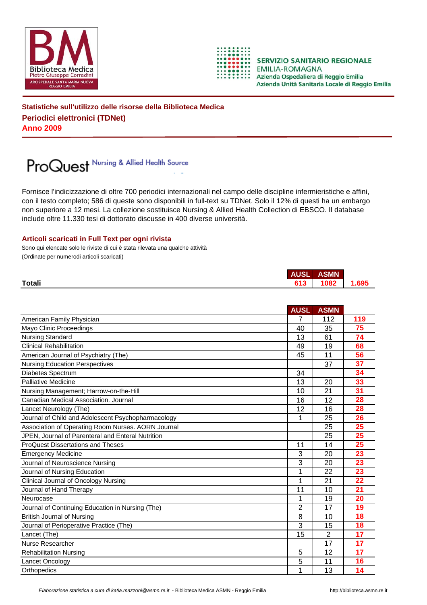



**SERVIZIO SANITARIO REGIONALE EMILIA-ROMAGNA** Azienda Ospedaliera di Reggio Emilia Azienda Unità Sanitaria Locale di Reggio Emilia

**Statistiche sull'utilizzo delle risorse della Biblioteca Medica Periodici elettronici (TDNet) Anno 2009**

## ProQuest Nursing & Allied Health Source

Fornisce l'indicizzazione di oltre 700 periodici internazionali nel campo delle discipline infermieristiche e affini, con il testo completo; 586 di queste sono disponibili in full-text su TDNet. Solo il 12% di questi ha un embargo non superiore a 12 mesi. La collezione sostituisce Nursing & Allied Health Collection di EBSCO. Il database include oltre 11.330 tesi di dottorato discusse in 400 diverse università.

## **Articoli scaricati in Full Text per ogni rivista**

Sono qui elencate solo le riviste di cui è stata rilevata una qualche attività (Ordinate per numerodi articoli scaricati)

|               | <b>AUSL</b> | <b>ASMN</b> |      |
|---------------|-------------|-------------|------|
| <b>Totali</b> | 613         | 1082        | .695 |
|               |             |             |      |

|                                                    | <b>AUSL</b> | <b>ASMN</b>    |     |
|----------------------------------------------------|-------------|----------------|-----|
| American Family Physician                          |             | 112            | 119 |
| Mayo Clinic Proceedings                            | 40          | 35             | 75  |
| <b>Nursing Standard</b>                            | 13          | 61             | 74  |
| <b>Clinical Rehabilitation</b>                     | 49          | 19             | 68  |
| American Journal of Psychiatry (The)               | 45          | 11             | 56  |
| <b>Nursing Education Perspectives</b>              |             | 37             | 37  |
| Diabetes Spectrum                                  | 34          |                | 34  |
| Palliative Medicine                                | 13          | 20             | 33  |
| Nursing Management; Harrow-on-the-Hill             | 10          | 21             | 31  |
| Canadian Medical Association, Journal              | 16          | 12             | 28  |
| Lancet Neurology (The)                             | 12          | 16             | 28  |
| Journal of Child and Adolescent Psychopharmacology | 1           | 25             | 26  |
| Association of Operating Room Nurses. AORN Journal |             | 25             | 25  |
| JPEN, Journal of Parenteral and Enteral Nutrition  |             | 25             | 25  |
| <b>ProQuest Dissertations and Theses</b>           | 11          | 14             | 25  |
| <b>Emergency Medicine</b>                          | 3           | 20             | 23  |
| Journal of Neuroscience Nursing                    | 3           | 20             | 23  |
| Journal of Nursing Education                       | 1           | 22             | 23  |
| <b>Clinical Journal of Oncology Nursing</b>        | 1           | 21             | 22  |
| Journal of Hand Therapy                            | 11          | 10             | 21  |
| Neurocase                                          | 1           | 19             | 20  |
| Journal of Continuing Education in Nursing (The)   | 2           | 17             | 19  |
| <b>British Journal of Nursing</b>                  | 8           | 10             | 18  |
| Journal of Perioperative Practice (The)            | 3           | 15             | 18  |
| Lancet (The)                                       | 15          | $\overline{2}$ | 17  |
| Nurse Researcher                                   |             | 17             | 17  |
| <b>Rehabilitation Nursing</b>                      | 5           | 12             | 17  |
| Lancet Oncology                                    | 5           | 11             | 16  |
| Orthopedics                                        | 1           | 13             | 14  |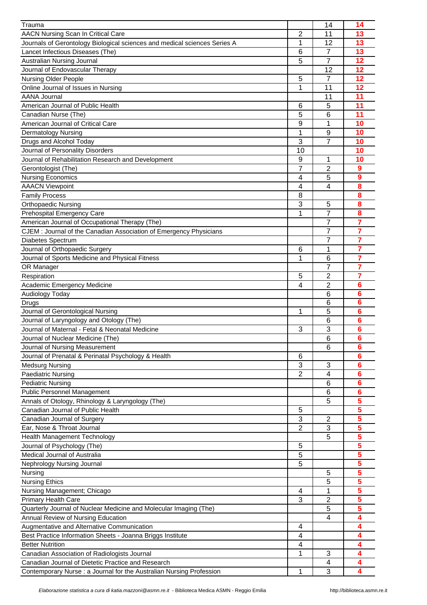| Trauma                                                                    |                | 14                  | 14              |
|---------------------------------------------------------------------------|----------------|---------------------|-----------------|
| AACN Nursing Scan In Critical Care                                        | 2              | 11                  | 13              |
| Journals of Gerontology Biological sciences and medical sciences Series A | 1              | 12                  | 13              |
| Lancet Infectious Diseases (The)                                          | 6              | $\overline{7}$      | 13              |
| Australian Nursing Journal                                                | 5              | 7                   | 12              |
| Journal of Endovascular Therapy                                           |                | 12                  | 12              |
| <b>Nursing Older People</b>                                               | 5              | $\overline{7}$      | 12              |
| Online Journal of Issues in Nursing                                       | 1              | 11                  | 12              |
| <b>AANA Journal</b>                                                       |                | 11                  | 11              |
| American Journal of Public Health                                         | 6              | 5                   | 11              |
| Canadian Nurse (The)                                                      | 5              | 6                   | 11              |
| American Journal of Critical Care                                         | 9              | 1                   | 10              |
| <b>Dermatology Nursing</b>                                                | 1              | 9                   | 10              |
| Drugs and Alcohol Today                                                   | 3              | $\overline{7}$      | 10              |
| Journal of Personality Disorders                                          | 10             |                     | 10              |
| Journal of Rehabilitation Research and Development                        | 9              | 1                   | 10              |
| Gerontologist (The)                                                       | 7              | $\overline{2}$      | 9               |
| <b>Nursing Economics</b>                                                  | 4              | 5                   | 9               |
| <b>AAACN Viewpoint</b>                                                    | 4              | 4                   | 8               |
|                                                                           |                |                     | 8               |
| <b>Family Process</b>                                                     | 8              |                     |                 |
| <b>Orthopaedic Nursing</b>                                                | 3              | 5<br>$\overline{7}$ | 8               |
| Prehospital Emergency Care                                                | 1              |                     | 8               |
| American Journal of Occupational Therapy (The)                            |                | 7                   | 7               |
| CJEM : Journal of the Canadian Association of Emergency Physicians        |                | 7                   | 7               |
| Diabetes Spectrum                                                         |                | 7                   | 7               |
| Journal of Orthopaedic Surgery                                            | 6              | 1                   | 7               |
| Journal of Sports Medicine and Physical Fitness                           | 1              | 6                   | 7               |
| OR Manager                                                                |                | 7                   | 7               |
| Respiration                                                               | 5              | 2                   | 7               |
| Academic Emergency Medicine                                               | 4              | 2                   | 6               |
| Audiology Today                                                           |                | 6                   | 6               |
| Drugs                                                                     |                | 6                   | $6\phantom{a}$  |
| Journal of Gerontological Nursing                                         | 1              | 5                   | $6\phantom{1}6$ |
| Journal of Laryngology and Otology (The)                                  |                | 6                   | 6               |
| Journal of Maternal - Fetal & Neonatal Medicine                           | 3              | 3                   | 6               |
| Journal of Nuclear Medicine (The)                                         |                | 6                   | $6\phantom{1}6$ |
| Journal of Nursing Measurement                                            |                | 6                   | 6               |
| Journal of Prenatal & Perinatal Psychology & Health                       | 6              |                     | 6               |
| <b>Medsurg Nursing</b>                                                    | 3              | 3                   | 6               |
| <b>Paediatric Nursing</b>                                                 | $\overline{2}$ | 4                   | 6               |
| <b>Pediatric Nursing</b>                                                  |                | 6                   | 6               |
| <b>Public Personnel Management</b>                                        |                | 6                   | $6\phantom{1}6$ |
| Annals of Otology, Rhinology & Laryngology (The)                          |                | 5                   | 5               |
| Canadian Journal of Public Health                                         | 5              |                     | 5               |
| Canadian Journal of Surgery                                               | 3              | $\overline{2}$      | 5               |
| Ear, Nose & Throat Journal                                                | $\overline{2}$ | 3                   | 5               |
| Health Management Technology                                              |                | 5                   | 5               |
| Journal of Psychology (The)                                               | 5              |                     | 5               |
| Medical Journal of Australia                                              | 5              |                     | 5               |
| Nephrology Nursing Journal                                                | 5              |                     | 5               |
| Nursing                                                                   |                | 5                   | 5               |
| <b>Nursing Ethics</b>                                                     |                | 5                   | 5               |
| Nursing Management; Chicago                                               | 4              | 1                   | 5               |
| <b>Primary Health Care</b>                                                | 3              | $\overline{2}$      | 5               |
| Quarterly Journal of Nuclear Medicine and Molecular Imaging (The)         |                | 5                   | 5               |
|                                                                           |                |                     |                 |
| Annual Review of Nursing Education                                        |                | 4                   | 4               |
| Augmentative and Alternative Communication                                | $\overline{4}$ |                     | 4               |
| Best Practice Information Sheets - Joanna Briggs Institute                | 4              |                     | 4               |
| <b>Better Nutrition</b>                                                   | $\overline{4}$ |                     | 4               |
| Canadian Association of Radiologists Journal                              | 1              | 3                   | 4               |
| Canadian Journal of Dietetic Practice and Research                        |                | 4                   | 4               |
| Contemporary Nurse : a Journal for the Australian Nursing Profession      |                | 3                   |                 |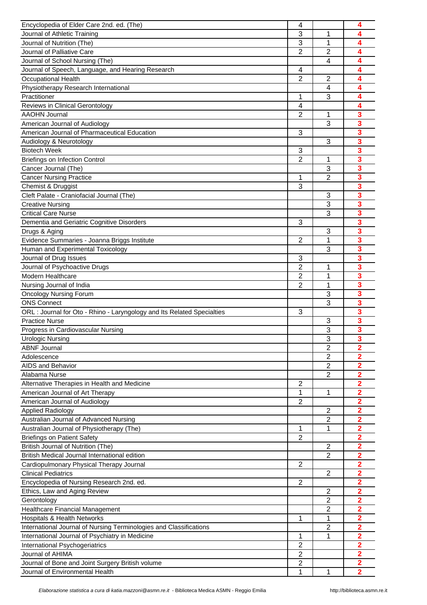| Encyclopedia of Elder Care 2nd. ed. (The)                               | 4              |                | 4                       |
|-------------------------------------------------------------------------|----------------|----------------|-------------------------|
| Journal of Athletic Training                                            | 3              | 1              | 4                       |
| Journal of Nutrition (The)                                              | 3              | 1              | 4                       |
| Journal of Palliative Care                                              | $\overline{2}$ | $\overline{2}$ | 4                       |
| Journal of School Nursing (The)                                         |                | $\overline{4}$ | 4                       |
| Journal of Speech, Language, and Hearing Research                       | 4              |                | 4                       |
| <b>Occupational Health</b>                                              | $\overline{2}$ | $\overline{2}$ | 4                       |
| Physiotherapy Research International                                    |                | 4              | 4                       |
| Practitioner                                                            | 1              | 3              | 4                       |
| Reviews in Clinical Gerontology                                         | 4              |                | 4                       |
| <b>AAOHN Journal</b>                                                    | $\overline{2}$ | 1              | 3                       |
| American Journal of Audiology                                           |                | 3              | 3                       |
| American Journal of Pharmaceutical Education                            | 3              |                | 3                       |
| Audiology & Neurotology                                                 |                | 3              | 3                       |
| <b>Biotech Week</b>                                                     | 3              |                | 3                       |
| <b>Briefings on Infection Control</b>                                   | $\overline{2}$ | 1              | 3                       |
| Cancer Journal (The)                                                    |                | 3              | 3                       |
| <b>Cancer Nursing Practice</b>                                          | 1              | $\overline{2}$ | 3                       |
| Chemist & Druggist                                                      | 3              |                | 3                       |
| Cleft Palate - Craniofacial Journal (The)                               |                | 3              | 3                       |
| <b>Creative Nursing</b>                                                 |                | 3              | 3                       |
| <b>Critical Care Nurse</b>                                              |                | 3              | 3                       |
| Dementia and Geriatric Cognitive Disorders                              | 3              |                | 3                       |
| Drugs & Aging                                                           |                | 3              | $\overline{\mathbf{3}}$ |
| Evidence Summaries - Joanna Briggs Institute                            | $\overline{2}$ | 1              | 3                       |
| Human and Experimental Toxicology                                       |                | 3              | $\overline{\mathbf{3}}$ |
| Journal of Drug Issues                                                  | 3              |                | 3                       |
| Journal of Psychoactive Drugs                                           | $\overline{2}$ | 1              | 3                       |
| <b>Modern Healthcare</b>                                                | 2              | 1              | 3                       |
| Nursing Journal of India                                                | $\overline{2}$ | 1              | 3                       |
| <b>Oncology Nursing Forum</b>                                           |                | 3              | 3                       |
| <b>ONS Connect</b>                                                      |                | 3              | 3                       |
| ORL : Journal for Oto - Rhino - Laryngology and Its Related Specialties | 3              |                | 3                       |
| <b>Practice Nurse</b>                                                   |                | 3              | 3                       |
| Progress in Cardiovascular Nursing                                      |                | 3              | 3                       |
| <b>Urologic Nursing</b>                                                 |                | $\overline{3}$ | $\overline{\mathbf{3}}$ |
| <b>ABNF Journal</b>                                                     |                | $\overline{c}$ | $\mathbf{2}$            |
| Adolescence                                                             |                | $\overline{2}$ | $\overline{\mathbf{2}}$ |
| <b>AIDS and Behavior</b>                                                |                | $\overline{2}$ | $\overline{\mathbf{2}}$ |
| Alabama Nurse                                                           |                | $\overline{2}$ | 2                       |
| Alternative Therapies in Health and Medicine                            | 2              |                | $\overline{\mathbf{2}}$ |
| American Journal of Art Therapy                                         | 1              | 1              | $\overline{2}$          |
| American Journal of Audiology                                           | $\overline{2}$ |                | $\overline{2}$          |
| <b>Applied Radiology</b>                                                |                | $\overline{2}$ | $\overline{2}$          |
| Australian Journal of Advanced Nursing                                  |                | $\overline{2}$ | 2                       |
| Australian Journal of Physiotherapy (The)                               | 1              | $\mathbf{1}$   | 2                       |
| <b>Briefings on Patient Safety</b>                                      | $\overline{2}$ |                | $\overline{2}$          |
| British Journal of Nutrition (The)                                      |                | 2              | $\overline{2}$          |
| British Medical Journal International edition                           |                | $\overline{2}$ | $\overline{2}$          |
| Cardiopulmonary Physical Therapy Journal                                | $\overline{c}$ |                | $\overline{\mathbf{2}}$ |
| <b>Clinical Pediatrics</b>                                              |                | $\overline{c}$ | $\overline{\mathbf{2}}$ |
| Encyclopedia of Nursing Research 2nd. ed.                               | $\overline{c}$ |                | $\overline{\mathbf{2}}$ |
| Ethics, Law and Aging Review                                            |                | 2              | $\overline{2}$          |
| Gerontology                                                             |                | 2              | 2                       |
| Healthcare Financial Management                                         |                | $\overline{2}$ | $\overline{2}$          |
| <b>Hospitals &amp; Health Networks</b>                                  | 1              | 1              | $\overline{2}$          |
| International Journal of Nursing Terminologies and Classifications      |                | $\overline{2}$ | $\overline{2}$          |
| International Journal of Psychiatry in Medicine                         | 1              | $\mathbf{1}$   | $\overline{2}$          |
| International Psychogeriatrics                                          | $\overline{2}$ |                | 2                       |
| Journal of AHIMA                                                        | $\overline{2}$ |                | 2                       |
| Journal of Bone and Joint Surgery British volume                        | 2              |                | $\overline{2}$          |
| Journal of Environmental Health                                         | 1              | 1              | $\overline{2}$          |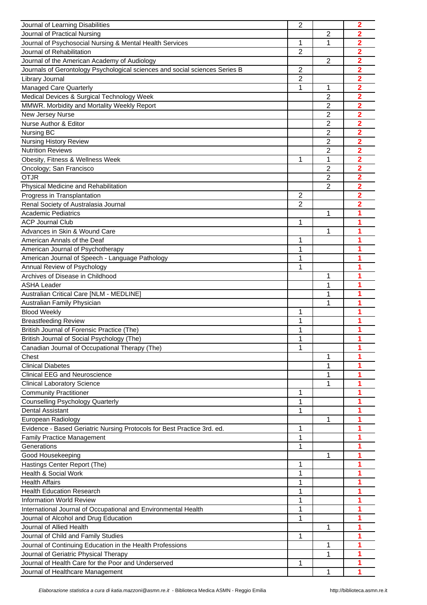| Journal of Learning Disabilities                                            | $\overline{2}$ |                         | $\overline{2}$          |
|-----------------------------------------------------------------------------|----------------|-------------------------|-------------------------|
| Journal of Practical Nursing                                                |                | 2                       | 2                       |
| Journal of Psychosocial Nursing & Mental Health Services                    | 1              | 1                       | 2                       |
| Journal of Rehabilitation                                                   | $\overline{2}$ |                         | $\overline{\mathbf{2}}$ |
| Journal of the American Academy of Audiology                                |                | $\overline{2}$          | 2                       |
| Journals of Gerontology Psychological sciences and social sciences Series B | $\overline{2}$ |                         | 2                       |
| Library Journal                                                             | $\overline{2}$ |                         | $\overline{\mathbf{2}}$ |
| Managed Care Quarterly                                                      | 1              | 1                       | $\overline{\mathbf{2}}$ |
| Medical Devices & Surgical Technology Week                                  |                | $\overline{2}$          | 2                       |
| MMWR. Morbidity and Mortality Weekly Report                                 |                | 2                       | 2                       |
| New Jersey Nurse                                                            |                | 2                       | $\overline{\mathbf{2}}$ |
| Nurse Author & Editor                                                       |                | $\overline{2}$          | $\overline{\mathbf{2}}$ |
|                                                                             |                |                         |                         |
| Nursing BC                                                                  |                | $\overline{c}$          | 2                       |
| <b>Nursing History Review</b>                                               |                | $\overline{\mathbf{c}}$ | $\overline{\mathbf{2}}$ |
| <b>Nutrition Reviews</b>                                                    |                | $\overline{2}$          | 2                       |
| Obesity, Fitness & Wellness Week                                            | 1              | 1                       | 2                       |
| Oncology; San Francisco                                                     |                | 2                       | $\overline{\mathbf{2}}$ |
| <b>OTJR</b>                                                                 |                | $\overline{2}$          | 2                       |
| Physical Medicine and Rehabilitation                                        |                | $\overline{2}$          | 2                       |
| Progress in Transplantation                                                 | $\overline{2}$ |                         | $\overline{2}$          |
| Renal Society of Australasia Journal                                        | $\overline{2}$ |                         | 2                       |
| <b>Academic Pediatrics</b>                                                  |                | 1                       | 1                       |
| <b>ACP Journal Club</b>                                                     | 1              |                         | 1                       |
| Advances in Skin & Wound Care                                               |                | 1                       | 1                       |
| American Annals of the Deaf                                                 | 1              |                         |                         |
| American Journal of Psychotherapy                                           | 1              |                         | 1                       |
| American Journal of Speech - Language Pathology                             | 1              |                         | 1                       |
| Annual Review of Psychology                                                 | 1              |                         | 1                       |
| Archives of Disease in Childhood                                            |                | 1                       | 1                       |
| <b>ASHA Leader</b>                                                          |                | 1                       | 1                       |
| Australian Critical Care [NLM - MEDLINE]                                    |                | 1                       | 1                       |
| Australian Family Physician                                                 |                | 1                       | 1                       |
| <b>Blood Weekly</b>                                                         | 1              |                         |                         |
| <b>Breastfeeding Review</b>                                                 | 1              |                         | 1                       |
| British Journal of Forensic Practice (The)                                  | 1              |                         | 1                       |
| British Journal of Social Psychology (The)                                  | 1              |                         | 1                       |
| Canadian Journal of Occupational Therapy (The)                              | 1              |                         | 1                       |
| Chest                                                                       |                | 1                       | 1                       |
| <b>Clinical Diabetes</b>                                                    |                | 1                       | 1                       |
| <b>Clinical EEG and Neuroscience</b>                                        |                | 1                       | 1                       |
| <b>Clinical Laboratory Science</b>                                          |                | 1                       | 1                       |
| <b>Community Practitioner</b>                                               | 1              |                         | 1                       |
| <b>Counselling Psychology Quarterly</b>                                     | 1              |                         | 1                       |
| <b>Dental Assistant</b>                                                     | 1              |                         |                         |
| European Radiology                                                          |                | 1                       | 1                       |
| Evidence - Based Geriatric Nursing Protocols for Best Practice 3rd. ed.     | 1              |                         | 1                       |
|                                                                             | 1              |                         | 1                       |
| <b>Family Practice Management</b><br>Generations                            | 1              |                         | 1                       |
|                                                                             |                |                         |                         |
| Good Housekeeping                                                           |                | 1                       | 1                       |
| Hastings Center Report (The)                                                | 1              |                         |                         |
| <b>Health &amp; Social Work</b>                                             | 1              |                         |                         |
| <b>Health Affairs</b>                                                       | 1              |                         |                         |
| <b>Health Education Research</b>                                            | 1              |                         |                         |
| <b>Information World Review</b>                                             | 1              |                         | 1                       |
| International Journal of Occupational and Environmental Health              | 1              |                         | 1                       |
| Journal of Alcohol and Drug Education                                       | 1              |                         | 1                       |
| Journal of Allied Health                                                    |                | 1                       | 1                       |
| Journal of Child and Family Studies                                         | 1              |                         | 1                       |
| Journal of Continuing Education in the Health Professions                   |                | 1                       | 1                       |
| Journal of Geriatric Physical Therapy                                       |                | 1                       | 1                       |
| Journal of Health Care for the Poor and Underserved                         | 1              |                         | 1                       |
| Journal of Healthcare Management                                            |                |                         |                         |